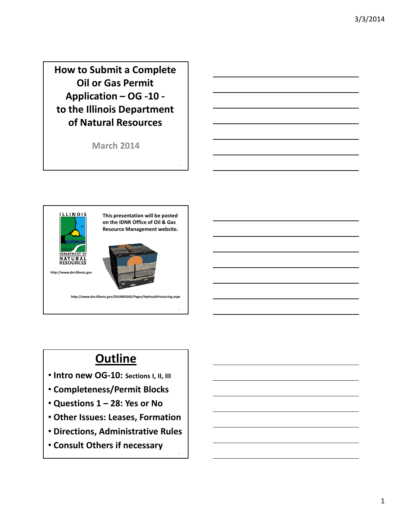How to Submit a Complete Oil or Gas Permit Application – OG -10 to the Illinois Department of Natural Resources

March 2014



# **Outline**

- Intro new OG-10: Sections I, II, III
- Completeness/Permit Blocks
- Questions 1 28: Yes or No
- Other Issues: Leases, Formation
- Directions, Administrative Rules

3

• Consult Others if necessary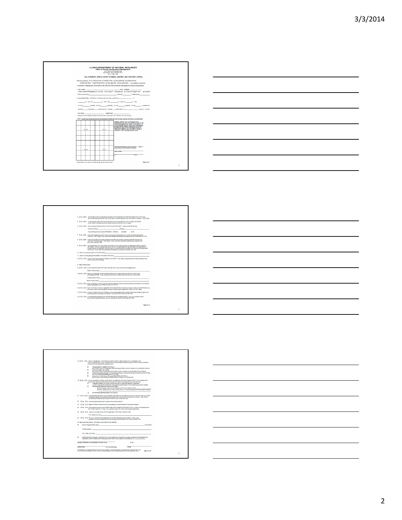







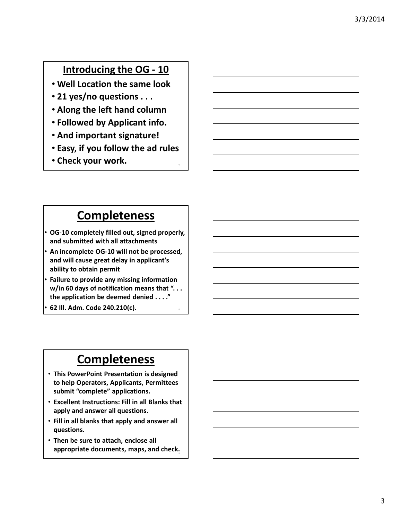#### Introducing the OG - 10

- Well Location the same look
- 21 yes/no questions . . .
- Along the left hand column
- Followed by Applicant info.
- And important signature!
- Easy, if you follow the ad rules
- Check your work.

### **Completeness**

- OG-10 completely filled out, signed properly, and submitted with all attachments
- An incomplete OG-10 will not be processed, and will cause great delay in applicant's ability to obtain permit
- Failure to provide any missing information w/in 60 days of notification means that "... the application be deemed denied . . . ."
- 62 Ill. Adm. Code 240.210(c). <sup>8</sup>

## **Completeness**

- This PowerPoint Presentation is designed to help Operators, Applicants, Permittees submit "complete" applications.
- Excellent Instructions: Fill in all Blanks that apply and answer all questions.
- Fill in all blanks that apply and answer all questions.
- Then be sure to attach, enclose all appropriate documents, maps, and check.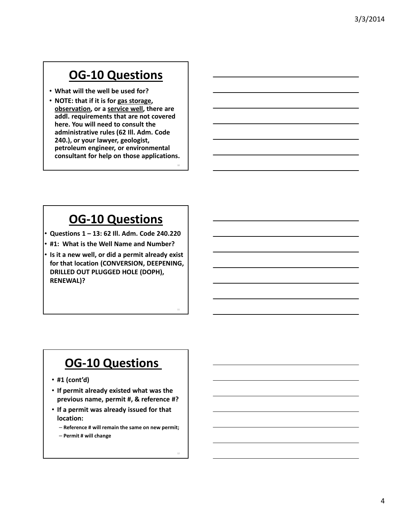- What will the well be used for?
- NOTE: that if it is for gas storage, observation, or a service well, there are addl. requirements that are not covered here. You will need to consult the administrative rules (62 Ill. Adm. Code 240.), or your lawyer, geologist, petroleum engineer, or environmental consultant for help on those applications.

10

12

# OG-10 Questions

- Questions 1 13: 62 Ill. Adm. Code 240.220
- #1: What is the Well Name and Number?
- Is it a new well, or did a permit already exist for that location (CONVERSION, DEEPENING, DRILLED OUT PLUGGED HOLE (DOPH), RENEWAL)?

- #1 (cont'd)
- If permit already existed what was the previous name, permit #, & reference #?
- If a permit was already issued for that location:
	- Reference # will remain the same on new permit;
	- Permit # will change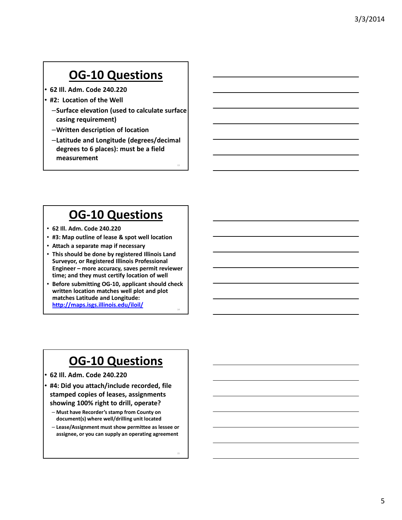- 62 Ill. Adm. Code 240.220
- #2: Location of the Well
	- –Surface elevation (used to calculate surface casing requirement)
	- –Written description of location
	- –Latitude and Longitude (degrees/decimal degrees to 6 places): must be a field measurement

13

14

15

## OG-10 Questions

- 62 Ill. Adm. Code 240.220
- #3: Map outline of lease & spot well location
- Attach a separate map if necessary
- This should be done by registered Illinois Land Surveyor, or Registered Illinois Professional Engineer – more accuracy, saves permit reviewer time; and they must certify location of well
- Before submitting OG-10, applicant should check written location matches well plot and plot matches Latitude and Longitude: http://maps.isgs.illinois.edu/iloil/

## OG-10 Questions

- 62 Ill. Adm. Code 240.220
- #4: Did you attach/include recorded, file stamped copies of leases, assignments showing 100% right to drill, operate?
	- Must have Recorder's stamp from County on document(s) where well/drilling unit located
	- Lease/Assignment must show permittee as lessee or assignee, or you can supply an operating agreement

5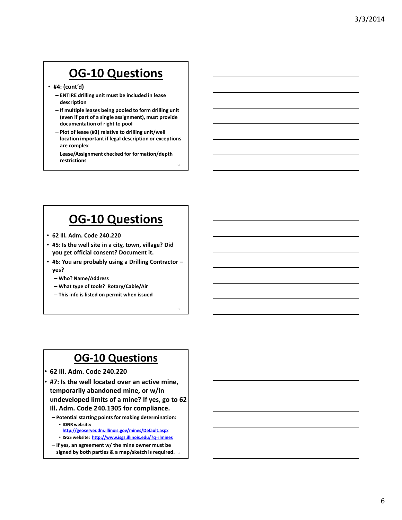• #4: (cont'd)

- ENTIRE drilling unit must be included in lease description
- If multiple leases being pooled to form drilling unit (even if part of a single assignment), must provide documentation of right to pool
- Plot of lease (#3) relative to drilling unit/well location important if legal description or exceptions are complex

16

– Lease/Assignment checked for formation/depth restrictions

# OG-10 Questions

- 62 Ill. Adm. Code 240.220
- #5: Is the well site in a city, town, village? Did you get official consent? Document it.
- #6: You are probably using a Drilling Contractor yes?
	- Who? Name/Address
	- What type of tools? Rotary/Cable/Air
	- This info is listed on permit when issued

- 62 Ill. Adm. Code 240.220
- #7: Is the well located over an active mine, temporarily abandoned mine, or w/in undeveloped limits of a mine? If yes, go to 62 Ill. Adm. Code 240.1305 for compliance.
	- Potential starting points for making determination: • IDNR website:
		- http://geoserver.dnr.illinois.gov/mines/Default.aspx
		- ISGS website: http://www.isgs.illinois.edu/?q=ilmines
	- If yes, an agreement w/ the mine owner must be signed by both parties & a map/sketch is required. 18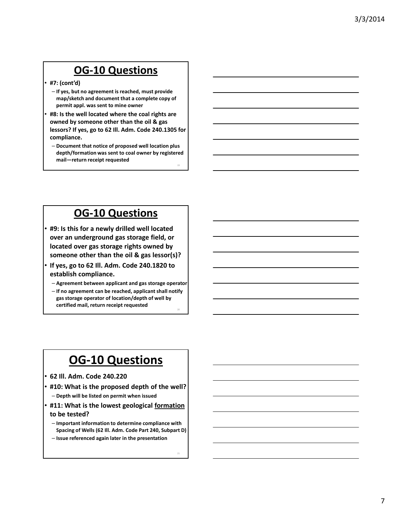- #7: (cont'd)
	- If yes, but no agreement is reached, must provide map/sketch and document that a complete copy of permit appl. was sent to mine owner
- #8: Is the well located where the coal rights are owned by someone other than the oil & gas lessors? If yes, go to 62 Ill. Adm. Code 240.1305 for compliance.
	- Document that notice of proposed well location plus depth/formation was sent to coal owner by registered mail—return receipt requested

19

#### OG-10 Questions

- #9: Is this for a newly drilled well located over an underground gas storage field, or located over gas storage rights owned by someone other than the oil & gas lessor(s)?
- If yes, go to 62 Ill. Adm. Code 240.1820 to establish compliance.
	- Agreement between applicant and gas storage operator
	- If no agreement can be reached, applicant shall notify gas storage operator of location/depth of well by certified mail, return receipt requested

- 62 Ill. Adm. Code 240.220
- #10: What is the proposed depth of the well?
	- Depth will be listed on permit when issued
- #11: What is the lowest geological formation
- to be tested?
- Important information to determine compliance with Spacing of Wells (62 Ill. Adm. Code Part 240, Subpart D)
- Issue referenced again later in the presentation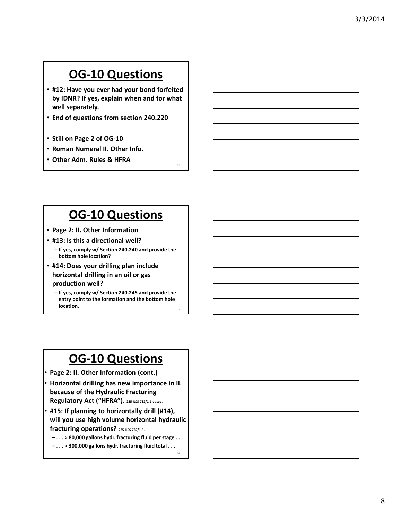- #12: Have you ever had your bond forfeited by IDNR? If yes, explain when and for what well separately.
- End of questions from section 240.220
- Still on Page 2 of OG-10
- Roman Numeral II. Other Info.
- Other Adm. Rules & HFRA

### OG-10 Questions

- Page 2: II. Other Information
- #13: Is this a directional well?
	- If yes, comply w/ Section 240.240 and provide the bottom hole location?
- #14: Does your drilling plan include horizontal drilling in an oil or gas production well?
	- If yes, comply w/ Section 240.245 and provide the entry point to the formation and the bottom hole location. 23

## OG-10 Questions

- Page 2: II. Other Information (cont.)
- Horizontal drilling has new importance in IL because of the Hydraulic Fracturing Regulatory Act ("HFRA"). 225 ILCS 732/1-1 et seq.
- #15: If planning to horizontally drill (#14), will you use high volume horizontal hydraulic fracturing operations? 225 ILCS 732/1-5.
	- . . . > 80,000 gallons hydr. fracturing fluid per stage . . .

24

 $-$ ... > 300,000 gallons hydr. fracturing fluid total ...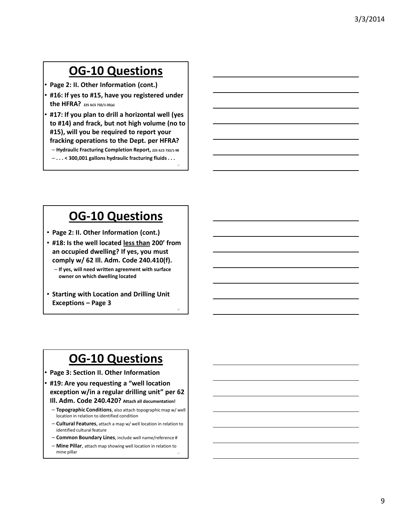- Page 2: II. Other Information (cont.)
- #16: If yes to #15, have you registered under the HFRA? 225 ILCS 732/1-35(a)
- #17: If you plan to drill a horizontal well (yes to #14) and frack, but not high volume (no to #15), will you be required to report your fracking operations to the Dept. per HFRA? - Hydraulic Fracturing Completion Report, 225 ILCS 732/1-98
	- . . . < 300,001 gallons hydraulic fracturing fluids . . .

25

26

#### OG-10 Questions

- Page 2: II. Other Information (cont.)
- #18: Is the well located less than 200' from an occupied dwelling? If yes, you must comply w/ 62 Ill. Adm. Code 240.410(f).
	- If yes, will need written agreement with surface owner on which dwelling located
- Starting with Location and Drilling Unit Exceptions – Page 3

- Page 3: Section II. Other Information
- #19: Are you requesting a "well location exception w/in a regular drilling unit" per 62 Ill. Adm. Code 240.420? Attach all documentation!
	- Topographic Conditions, also attach topographic map w/ well location in relation to identified condition
	- Cultural Features, attach a map w/ well location in relation to identified cultural feature
	- Common Boundary Lines, include well name/reference #
	- Mine Pillar, attach map showing well location in relation to mine pillar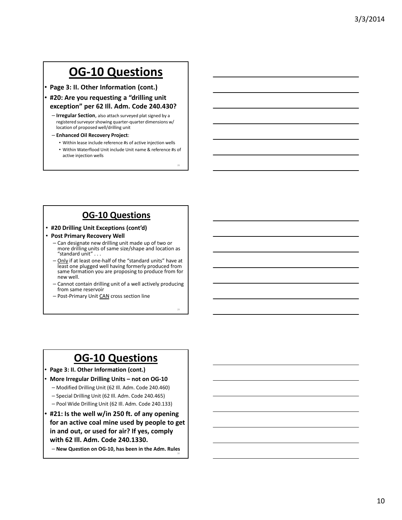• Page 3: II. Other Information (cont.)

- #20: Are you requesting a "drilling unit exception" per 62 Ill. Adm. Code 240.430?
	- Irregular Section, also attach surveyed plat signed by a registered surveyor showing quarter-quarter dimensions w/ location of proposed well/drilling unit
	- Enhanced Oil Recovery Project:
		- Within lease include reference #s of active injection wells
		- Within Waterflood Unit include Unit name & reference #s of active injection wells

28

29

30

#### OG-10 Questions

- #20 Drilling Unit Exceptions (cont'd)
- Post Primary Recovery Well
	- Can designate new drilling unit made up of two or more drilling units of same size/shape and location as "standard unit" . . .
	- Only if at least one-half of the "standard units" have at least one plugged well having formerly produced from same formation you are proposing to produce from for new well.
	- Cannot contain drilling unit of a well actively producing from same reservoir
	- Post-Primary Unit CAN cross section line

#### OG-10 Questions

- Page 3: II. Other Information (cont.)
- More Irregular Drilling Units not on OG-10
	- Modified Drilling Unit (62 Ill. Adm. Code 240.460)
	- Special Drilling Unit (62 Ill. Adm. Code 240.465)
	- Pool Wide Drilling Unit (62 Ill. Adm. Code 240.133)
- #21: Is the well w/in 250 ft. of any opening for an active coal mine used by people to get in and out, or used for air? If yes, comply with 62 Ill. Adm. Code 240.1330.

– New Question on OG-10, has been in the Adm. Rules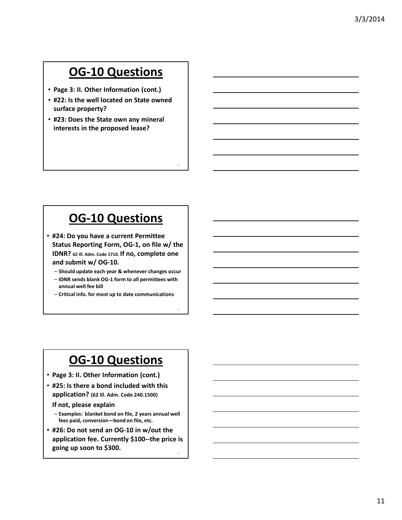- Page 3: II. Other Information (cont.)
- #22: Is the well located on State owned surface property?
- #23: Does the State own any mineral interests in the proposed lease?

### OG-10 Questions

31

33

- #24: Do you have a current Permittee Status Reporting Form, OG-1, on file w/ the IDNR? 62 Ill. Adm. Code 1710. If no, complete one and submit w/ OG-10.
	- Should update each year & whenever changes occur
	- IDNR sends blank OG-1 form to all permittees with annual well fee bill
	- Critical info. for most up to date communications

## OG-10 Questions

- Page 3: II. Other Information (cont.)
- #25: Is there a bond included with this application? (62 Ill. Adm. Code 240.1500)

If not, please explain

- Examples: blanket bond on file, 2 years annual well fees paid, conversion—bond on file, etc.
- #26: Do not send an OG-10 in w/out the application fee. Currently \$100--the price is going up soon to \$300.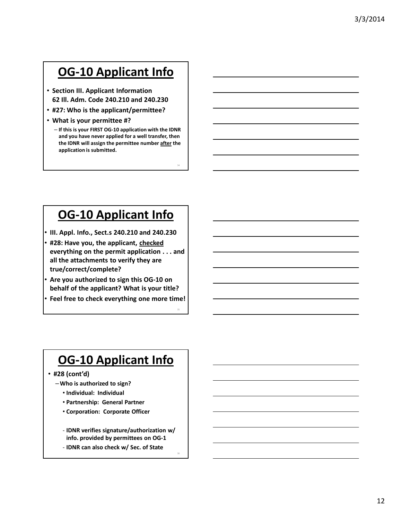# OG-10 Applicant Info

- Section III. Applicant Information 62 Ill. Adm. Code 240.210 and 240.230
- #27: Who is the applicant/permittee?
- What is your permittee #?
	- If this is your FIRST OG-10 application with the IDNR and you have never applied for a well transfer, then the IDNR will assign the permittee number after the application is submitted.

34

35

36

## OG-10 Applicant Info

- III. Appl. Info., Sect.s 240.210 and 240.230
- #28: Have you, the applicant, checked everything on the permit application . . . and all the attachments to verify they are true/correct/complete?
- Are you authorized to sign this OG-10 on behalf of the applicant? What is your title?
- Feel free to check everything one more time!

## OG-10 Applicant Info

- #28 (cont'd)
	- –Who is authorized to sign?
		- Individual: Individual
		- Partnership: General Partner
		- Corporation: Corporate Officer
		- IDNR verifies signature/authorization w/ info. provided by permittees on OG-1
		- IDNR can also check w/ Sec. of State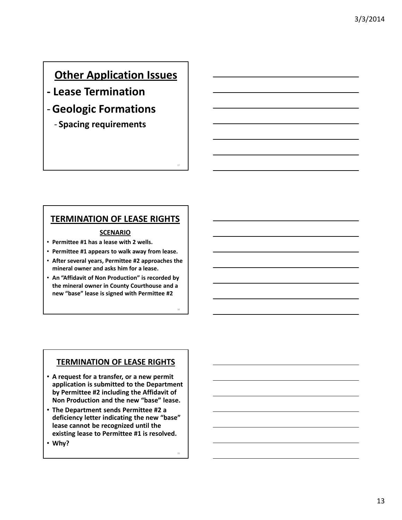### **Other Application Issues**

- Lease Termination
- -Geologic Formations
	- Spacing requirements

#### TERMINATION OF LEASE RIGHTS

37

38

39

#### **SCENARIO**

- Permittee #1 has a lease with 2 wells.
- Permittee #1 appears to walk away from lease.
- After several years, Permittee #2 approaches the mineral owner and asks him for a lease.
- An "Affidavit of Non Production" is recorded by the mineral owner in County Courthouse and a new "base" lease is signed with Permittee #2

#### **TERMINATION OF LEASE RIGHTS**

- A request for a transfer, or a new permit application is submitted to the Department by Permittee #2 including the Affidavit of Non Production and the new "base" lease.
- The Department sends Permittee #2 a deficiency letter indicating the new "base" lease cannot be recognized until the existing lease to Permittee #1 is resolved.
- Why?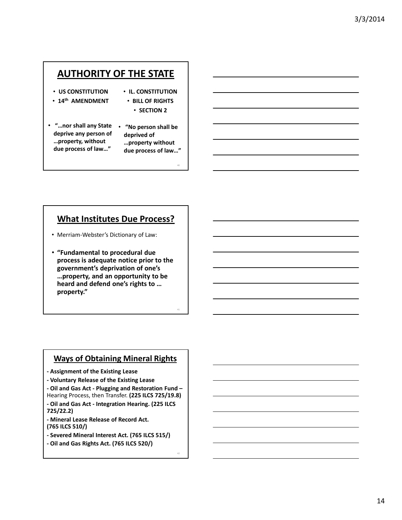#### AUTHORITY OF THE STATE

- US CONSTITUTION
- 14<sup>th</sup> AMENDMENT
- IL. CONSTITUTION • BILL OF RIGHTS
	- SECTION 2
- "…nor shall any State deprive any person of …property, without due process of law…"
- "No person shall be deprived of …property without due process of law…"

40

41

42

#### What Institutes Due Process?

- Merriam-Webster's Dictionary of Law:
- "Fundamental to procedural due process is adequate notice prior to the government's deprivation of one's …property, and an opportunity to be heard and defend one's rights to … property."

#### Ways of Obtaining Mineral Rights

- Assignment of the Existing Lease
- Voluntary Release of the Existing Lease
- Oil and Gas Act Plugging and Restoration Fund Hearing Process, then Transfer. (225 ILCS 725/19.8)
- Oil and Gas Act Integration Hearing. (225 ILCS 725/22.2)
- Mineral Lease Release of Record Act. (765 ILCS 510/)
- Severed Mineral Interest Act. (765 ILCS 515/)
- Oil and Gas Rights Act. (765 ILCS 520/)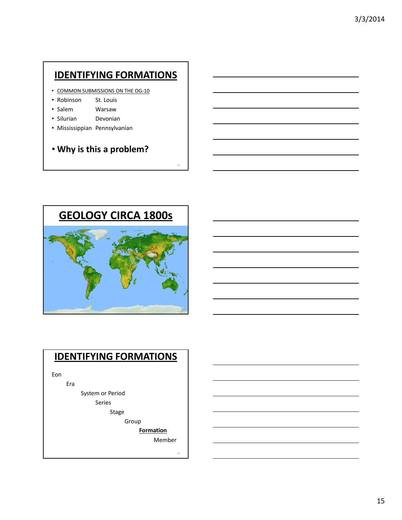#### IDENTIFYING FORMATIONS

- COMMON SUBMISSIONS ON THE OG-10
- Robinson St. Louis
- Salem Warsaw
- Silurian Devonian
- Mississippian Pennsylvanian
- Why is this a problem?



#### IDENTIFYING FORMATIONS

Eon

Era

System or Period

Series

Stage

Group

**Formation** 

Member

45

43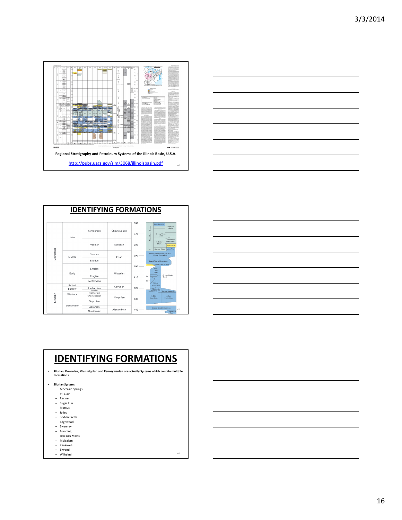



| <b>IDENTIFYING FORMATIONS</b> |            |                        |             |            |                                                                                                  |  |  |
|-------------------------------|------------|------------------------|-------------|------------|--------------------------------------------------------------------------------------------------|--|--|
|                               | Late       | Famennian              | Chautauquan | 360<br>370 | Louisiana Ls<br>Saverton<br>New Albany Group<br>Shale<br><b>Grassy Creek</b><br>Shale            |  |  |
| Devonian                      |            | Frasnian               | Senecan     | 380        | Sweetland<br>Creek Shale<br>Selmier<br>Shale<br>Sylamore Ss.<br>Alto Fm.<br><b>Blocher Shale</b> |  |  |
|                               | Middle     | Givetian               | Erian       | 390        | Cedar Valley Limestone and<br><b>Lingle Formation</b>                                            |  |  |
|                               |            | Eifelian               |             |            | Grand Tower Limestone                                                                            |  |  |
|                               | Early      | Emsian                 | Ulsterian   | 400        | Dutch Creek Sa, Mbr.<br>Clear<br>Creok<br>Chert                                                  |  |  |
|                               |            | Pragian                |             | 410        | Grassy Knob<br>Ls.<br>Chert                                                                      |  |  |
|                               |            | Lochkovian             |             |            | Ls.<br>Bailey                                                                                    |  |  |
| Silurian                      | Pridoli    |                        | Cayugan     | 420        | Limestone                                                                                        |  |  |
|                               | Ludlow     | Ludfordian<br>Gorstian |             |            | Moccasin                                                                                         |  |  |
|                               | Wenlock    | Homerian               | Niagarian   |            | Springs Fm.<br><b>Racine Formation</b>                                                           |  |  |
|                               |            | Sheinwoodian           |             | 430        | St. Clair<br>Joliet                                                                              |  |  |
|                               | Llandoverv | Telvchian              |             |            | Formation<br>Limestone                                                                           |  |  |
|                               |            | Aeronian               | Alexandrian | 440        | Sexton Creek Limestone                                                                           |  |  |
|                               |            | <b>Rhuddanian</b>      |             |            | 47<br>Edgewood<br>Fm.                                                                            |  |  |



#### IDENTIFYING FORMATIONS

• Silurian, Devonian, Mississippian and Pennsylvanian are actually Systems which contain multiple Formations.

- Silurian System:
	- Moccasin Springs St. Clair
	-
	- Racine Sugar Run
	- Marcus
	- Joliet
	- Sexton Creek Edgewood Sweeney
	-
	- Blanding Tete Des Morts
	-
	- Molsalem Kankakee Elwood
	-
	- Wilhelmi <sup>48</sup>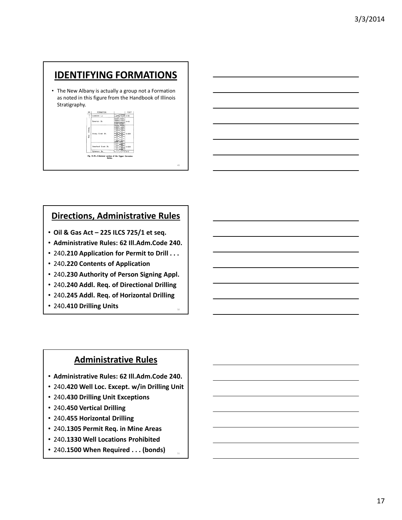#### IDENTIFYING FORMATIONS

• The New Albany is actually a group not a Formation as noted in this figure from the Handbook of Illinois Stratigraphy.

| GR          | <b>FORMATION</b>                                            |   | FEET      |
|-------------|-------------------------------------------------------------|---|-----------|
|             | Louisiana Ls.                                               |   | $0 - 40$  |
|             | Soverton Sh.                                                |   | $5 - 110$ |
| Albany<br>ž | Grossy Creek Sh.                                            |   | 0.225     |
|             | Secontinud Crook Sh.                                        |   | $0 - 200$ |
|             | Sylamore Ss.                                                | π | ro-s      |
|             | Fig. D-19-Columnar section of the Upper Devonian<br>Series. |   |           |

#### Directions, Administrative Rules

49

51

- Oil & Gas Act 225 ILCS 725/1 et seq.
- Administrative Rules: 62 Ill.Adm.Code 240.
- 240.210 Application for Permit to Drill . . .
- 240.220 Contents of Application
- 240.230 Authority of Person Signing Appl.
- 240.240 Addl. Req. of Directional Drilling
- 240.245 Addl. Req. of Horizontal Drilling
- 240.410 Drilling Units

#### Administrative Rules

- Administrative Rules: 62 Ill.Adm.Code 240.
- 240.420 Well Loc. Except. w/in Drilling Unit
- 240.430 Drilling Unit Exceptions
- 240.450 Vertical Drilling
- 240.455 Horizontal Drilling
- 240.1305 Permit Req. in Mine Areas
- 240.1330 Well Locations Prohibited
- 240.1500 When Required . . . (bonds)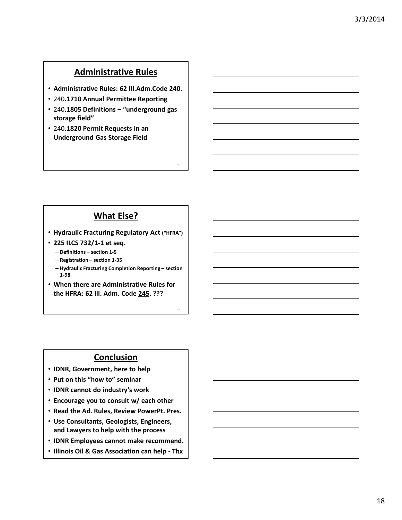#### Administrative Rules

- Administrative Rules: 62 Ill.Adm.Code 240.
- 240.1710 Annual Permittee Reporting
- 240.1805 Definitions "underground gas storage field"
- 240.1820 Permit Requests in an Underground Gas Storage Field

#### What Else?

52

53

- Hydraulic Fracturing Regulatory Act ("HFRA")
- 225 ILCS 732/1-1 et seq.
	- Definitions section 1-5
	- Registration section 1-35
	- Hydraulic Fracturing Completion Reporting section 1-98
- When there are Administrative Rules for the HFRA: 62 Ill. Adm. Code 245. ???

#### **Conclusion**

- IDNR, Government, here to help
- Put on this "how to" seminar
- IDNR cannot do industry's work
- Encourage you to consult w/ each other
- Read the Ad. Rules, Review PowerPt. Pres.
- Use Consultants, Geologists, Engineers, and Lawyers to help with the process
- IDNR Employees cannot make recommend.
- Illinois Oil & Gas Association can help Thx